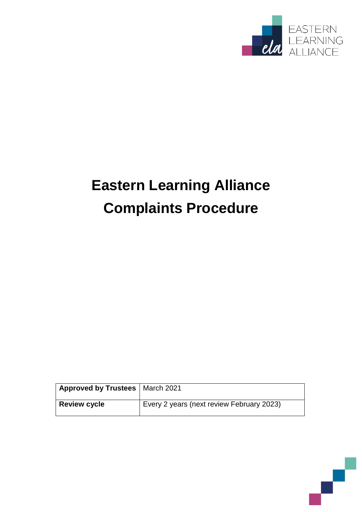

# **Eastern Learning Alliance Complaints Procedure**

| Approved by Trustees   March 2021 |                                           |
|-----------------------------------|-------------------------------------------|
| <b>Review cycle</b>               | Every 2 years (next review February 2023) |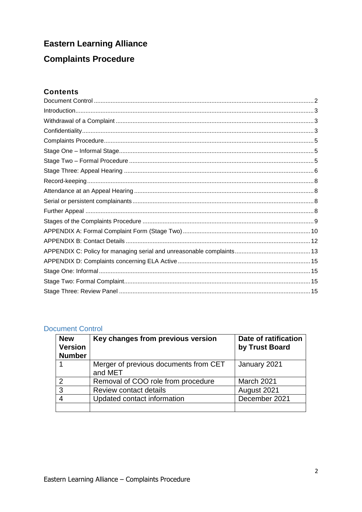# **Eastern Learning Alliance**

# **Complaints Procedure**

# **Contents**

## <span id="page-1-0"></span>**Document Control**

| <b>New</b><br><b>Version</b><br><b>Number</b> | Key changes from previous version                | Date of ratification<br>by Trust Board |
|-----------------------------------------------|--------------------------------------------------|----------------------------------------|
|                                               | Merger of previous documents from CET<br>and MET | January 2021                           |
| $\mathcal{P}$                                 | Removal of COO role from procedure               | March 2021                             |
| 3                                             | <b>Review contact details</b>                    | August 2021                            |
|                                               | Updated contact information                      | December 2021                          |
|                                               |                                                  |                                        |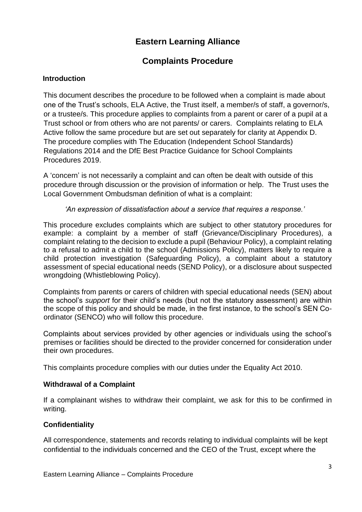# **Eastern Learning Alliance**

# **Complaints Procedure**

# <span id="page-2-0"></span>**Introduction**

This document describes the procedure to be followed when a complaint is made about one of the Trust's schools, ELA Active, the Trust itself, a member/s of staff, a governor/s, or a trustee/s. This procedure applies to complaints from a parent or carer of a pupil at a Trust school or from others who are not parents/ or carers. Complaints relating to ELA Active follow the same procedure but are set out separately for clarity at Appendix D. The procedure complies with The Education (Independent School Standards) Regulations 2014 and the DfE Best Practice Guidance for School Complaints Procedures 2019.

A 'concern' is not necessarily a complaint and can often be dealt with outside of this procedure through discussion or the provision of information or help. The Trust uses the Local Government Ombudsman definition of what is a complaint:

# *'An expression of dissatisfaction about a service that requires a response.'*

This procedure excludes complaints which are subject to other statutory procedures for example: a complaint by a member of staff (Grievance/Disciplinary Procedures), a complaint relating to the decision to exclude a pupil (Behaviour Policy), a complaint relating to a refusal to admit a child to the school (Admissions Policy), matters likely to require a child protection investigation (Safeguarding Policy), a complaint about a statutory assessment of special educational needs (SEND Policy), or a disclosure about suspected wrongdoing (Whistleblowing Policy).

Complaints from parents or carers of children with special educational needs (SEN) about the school's *support* for their child's needs (but not the statutory assessment) are within the scope of this policy and should be made, in the first instance, to the school's SEN Coordinator (SENCO) who will follow this procedure.

Complaints about services provided by other agencies or individuals using the school's premises or facilities should be directed to the provider concerned for consideration under their own procedures.

This complaints procedure complies with our duties under the Equality Act 2010.

## <span id="page-2-1"></span>**Withdrawal of a Complaint**

If a complainant wishes to withdraw their complaint, we ask for this to be confirmed in writing.

# <span id="page-2-2"></span>**Confidentiality**

All correspondence, statements and records relating to individual complaints will be kept confidential to the individuals concerned and the CEO of the Trust, except where the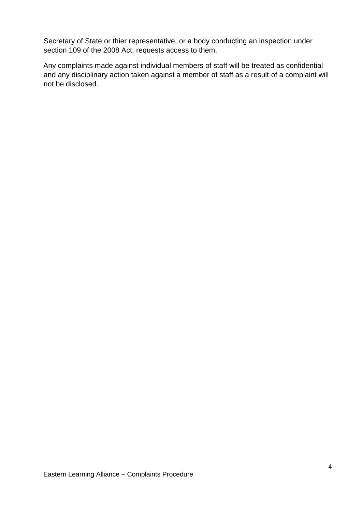Secretary of State or thier representative, or a body conducting an inspection under section 109 of the 2008 Act, requests access to them.

Any complaints made against individual members of staff will be treated as confidential and any disciplinary action taken against a member of staff as a result of a complaint will not be disclosed.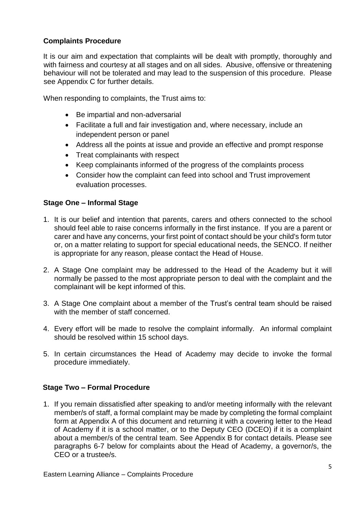# <span id="page-4-0"></span>**Complaints Procedure**

It is our aim and expectation that complaints will be dealt with promptly, thoroughly and with fairness and courtesy at all stages and on all sides. Abusive, offensive or threatening behaviour will not be tolerated and may lead to the suspension of this procedure. Please see Appendix C for further details.

When responding to complaints, the Trust aims to:

- Be impartial and non-adversarial
- Facilitate a full and fair investigation and, where necessary, include an independent person or panel
- Address all the points at issue and provide an effective and prompt response
- Treat complainants with respect
- Keep complainants informed of the progress of the complaints process
- Consider how the complaint can feed into school and Trust improvement evaluation processes.

# <span id="page-4-1"></span>**Stage One – Informal Stage**

- 1. It is our belief and intention that parents, carers and others connected to the school should feel able to raise concerns informally in the first instance. If you are a parent or carer and have any concerns, your first point of contact should be your child's form tutor or, on a matter relating to support for special educational needs, the SENCO. If neither is appropriate for any reason, please contact the Head of House.
- 2. A Stage One complaint may be addressed to the Head of the Academy but it will normally be passed to the most appropriate person to deal with the complaint and the complainant will be kept informed of this.
- 3. A Stage One complaint about a member of the Trust's central team should be raised with the member of staff concerned.
- 4. Every effort will be made to resolve the complaint informally. An informal complaint should be resolved within 15 school days.
- 5. In certain circumstances the Head of Academy may decide to invoke the formal procedure immediately.

## <span id="page-4-2"></span>**Stage Two – Formal Procedure**

1. If you remain dissatisfied after speaking to and/or meeting informally with the relevant member/s of staff, a formal complaint may be made by completing the formal complaint form at Appendix A of this document and returning it with a covering letter to the Head of Academy if it is a school matter, or to the Deputy CEO (DCEO) if it is a complaint about a member/s of the central team. See Appendix B for contact details. Please see paragraphs 6-7 below for complaints about the Head of Academy, a governor/s, the CEO or a trustee/s.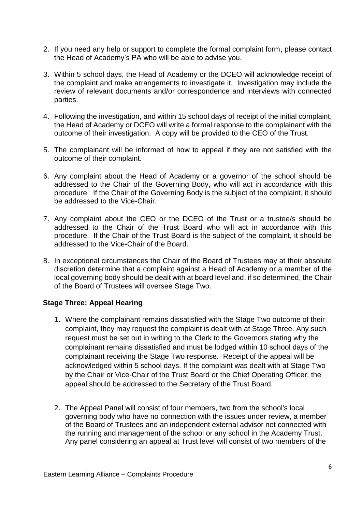- 2. If you need any help or support to complete the formal complaint form, please contact the Head of Academy's PA who will be able to advise you.
- 3. Within 5 school days, the Head of Academy or the DCEO will acknowledge receipt of the complaint and make arrangements to investigate it. Investigation may include the review of relevant documents and/or correspondence and interviews with connected parties.
- 4. Following the investigation, and within 15 school days of receipt of the initial complaint, the Head of Academy or DCEO will write a formal response to the complainant with the outcome of their investigation. A copy will be provided to the CEO of the Trust.
- 5. The complainant will be informed of how to appeal if they are not satisfied with the outcome of their complaint.
- 6. Any complaint about the Head of Academy or a governor of the school should be addressed to the Chair of the Governing Body, who will act in accordance with this procedure. If the Chair of the Governing Body is the subject of the complaint, it should be addressed to the Vice-Chair.
- 7. Any complaint about the CEO or the DCEO of the Trust or a trustee/s should be addressed to the Chair of the Trust Board who will act in accordance with this procedure. If the Chair of the Trust Board is the subject of the complaint, it should be addressed to the Vice-Chair of the Board.
- 8. In exceptional circumstances the Chair of the Board of Trustees may at their absolute discretion determine that a complaint against a Head of Academy or a member of the local governing body should be dealt with at board level and, if so determined, the Chair of the Board of Trustees will oversee Stage Two.

## <span id="page-5-0"></span>**Stage Three: Appeal Hearing**

- 1. Where the complainant remains dissatisfied with the Stage Two outcome of their complaint, they may request the complaint is dealt with at Stage Three. Any such request must be set out in writing to the Clerk to the Governors stating why the complainant remains dissatisfied and must be lodged within 10 school days of the complainant receiving the Stage Two response. Receipt of the appeal will be acknowledged within 5 school days. If the complaint was dealt with at Stage Two by the Chair or Vice-Chair of the Trust Board or the Chief Operating Officer, the appeal should be addressed to the Secretary of the Trust Board.
- 2. The Appeal Panel will consist of four members, two from the school's local governing body who have no connection with the issues under review, a member of the Board of Trustees and an independent external advisor not connected with the running and management of the school or any school in the Academy Trust. Any panel considering an appeal at Trust level will consist of two members of the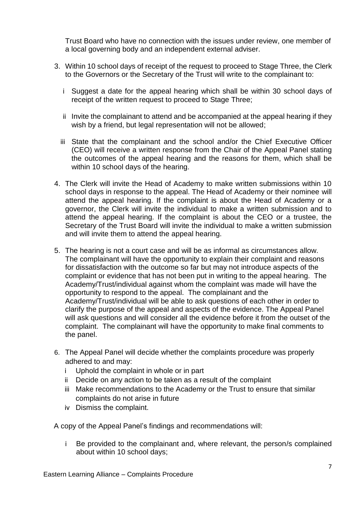Trust Board who have no connection with the issues under review, one member of a local governing body and an independent external adviser.

- 3. Within 10 school days of receipt of the request to proceed to Stage Three, the Clerk to the Governors or the Secretary of the Trust will write to the complainant to:
	- i Suggest a date for the appeal hearing which shall be within 30 school days of receipt of the written request to proceed to Stage Three;
	- ii Invite the complainant to attend and be accompanied at the appeal hearing if they wish by a friend, but legal representation will not be allowed;
	- iii State that the complainant and the school and/or the Chief Executive Officer (CEO) will receive a written response from the Chair of the Appeal Panel stating the outcomes of the appeal hearing and the reasons for them, which shall be within 10 school days of the hearing.
- 4. The Clerk will invite the Head of Academy to make written submissions within 10 school days in response to the appeal. The Head of Academy or their nominee will attend the appeal hearing. If the complaint is about the Head of Academy or a governor, the Clerk will invite the individual to make a written submission and to attend the appeal hearing. If the complaint is about the CEO or a trustee, the Secretary of the Trust Board will invite the individual to make a written submission and will invite them to attend the appeal hearing.
- 5. The hearing is not a court case and will be as informal as circumstances allow. The complainant will have the opportunity to explain their complaint and reasons for dissatisfaction with the outcome so far but may not introduce aspects of the complaint or evidence that has not been put in writing to the appeal hearing. The Academy/Trust/individual against whom the complaint was made will have the opportunity to respond to the appeal. The complainant and the Academy/Trust/individual will be able to ask questions of each other in order to clarify the purpose of the appeal and aspects of the evidence. The Appeal Panel will ask questions and will consider all the evidence before it from the outset of the complaint. The complainant will have the opportunity to make final comments to the panel.
- 6. The Appeal Panel will decide whether the complaints procedure was properly adhered to and may:
	- i Uphold the complaint in whole or in part
	- ii Decide on any action to be taken as a result of the complaint
	- iii Make recommendations to the Academy or the Trust to ensure that similar complaints do not arise in future
	- iv Dismiss the complaint.

A copy of the Appeal Panel's findings and recommendations will:

i Be provided to the complainant and, where relevant, the person/s complained about within 10 school days;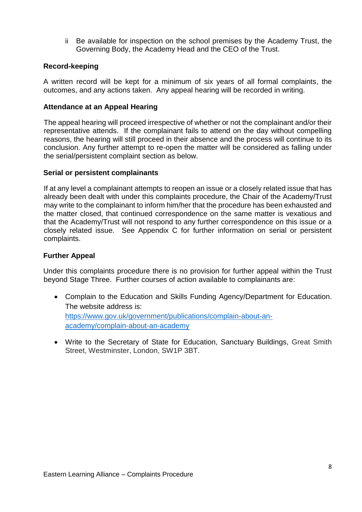ii Be available for inspection on the school premises by the Academy Trust, the Governing Body, the Academy Head and the CEO of the Trust.

# <span id="page-7-0"></span>**Record-keeping**

A written record will be kept for a minimum of six years of all formal complaints, the outcomes, and any actions taken. Any appeal hearing will be recorded in writing.

# <span id="page-7-1"></span>**Attendance at an Appeal Hearing**

The appeal hearing will proceed irrespective of whether or not the complainant and/or their representative attends. If the complainant fails to attend on the day without compelling reasons, the hearing will still proceed in their absence and the process will continue to its conclusion. Any further attempt to re-open the matter will be considered as falling under the serial/persistent complaint section as below.

## <span id="page-7-2"></span>**Serial or persistent complainants**

If at any level a complainant attempts to reopen an issue or a closely related issue that has already been dealt with under this complaints procedure, the Chair of the Academy/Trust may write to the complainant to inform him/her that the procedure has been exhausted and the matter closed, that continued correspondence on the same matter is vexatious and that the Academy/Trust will not respond to any further correspondence on this issue or a closely related issue. See Appendix C for further information on serial or persistent complaints.

#### <span id="page-7-3"></span>**Further Appeal**

Under this complaints procedure there is no provision for further appeal within the Trust beyond Stage Three. Further courses of action available to complainants are:

- Complain to the Education and Skills Funding Agency/Department for Education. The website address is: [https://www.gov.uk/government/publications/complain-about-an](https://www.gov.uk/government/publications/complain-about-an-academy/complain-about-an-academy)[academy/complain-about-an-academy](https://www.gov.uk/government/publications/complain-about-an-academy/complain-about-an-academy)
- Write to the Secretary of State for Education, Sanctuary Buildings, Great Smith Street, Westminster, London, SW1P 3BT.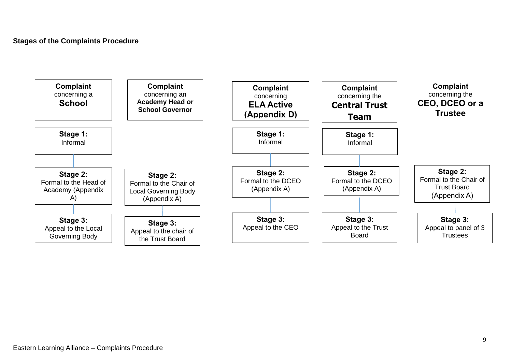<span id="page-8-0"></span>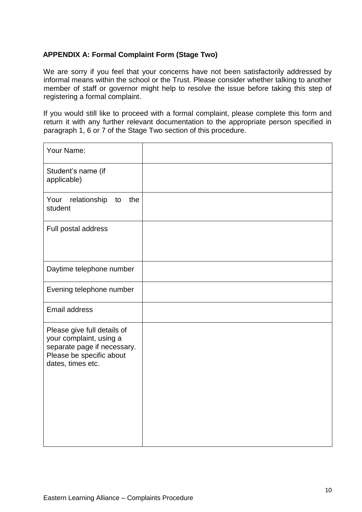# <span id="page-9-0"></span>**APPENDIX A: Formal Complaint Form (Stage Two)**

We are sorry if you feel that your concerns have not been satisfactorily addressed by informal means within the school or the Trust. Please consider whether talking to another member of staff or governor might help to resolve the issue before taking this step of registering a formal complaint.

If you would still like to proceed with a formal complaint, please complete this form and return it with any further relevant documentation to the appropriate person specified in paragraph 1, 6 or 7 of the Stage Two section of this procedure.

| Your Name:                                                                                                                             |  |
|----------------------------------------------------------------------------------------------------------------------------------------|--|
| Student's name (if<br>applicable)                                                                                                      |  |
| the<br>relationship<br>Your<br>to<br>student                                                                                           |  |
| Full postal address                                                                                                                    |  |
| Daytime telephone number                                                                                                               |  |
| Evening telephone number                                                                                                               |  |
| <b>Email address</b>                                                                                                                   |  |
| Please give full details of<br>your complaint, using a<br>separate page if necessary.<br>Please be specific about<br>dates, times etc. |  |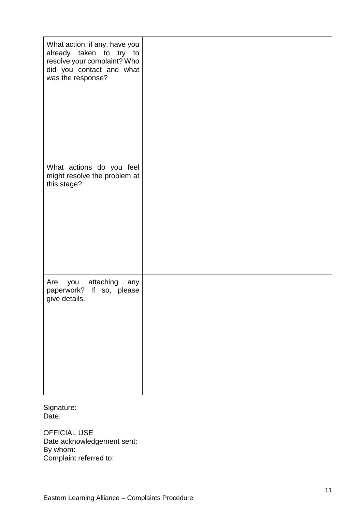| What action, if any, have you<br>already taken to try to<br>resolve your complaint? Who<br>did you contact and what<br>was the response? |  |
|------------------------------------------------------------------------------------------------------------------------------------------|--|
| What actions do you feel<br>might resolve the problem at<br>this stage?                                                                  |  |
| Are you attaching any<br>paperwork?<br>If so, please<br>give details.                                                                    |  |

Signature: Date:

OFFICIAL USE Date acknowledgement sent: By whom: Complaint referred to: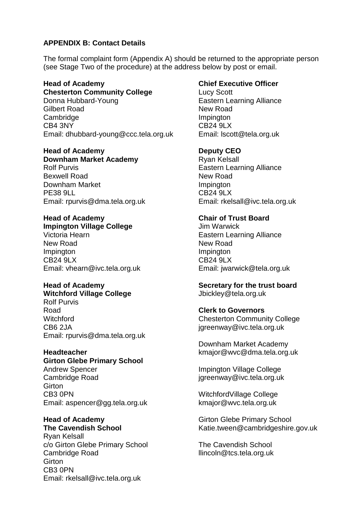# <span id="page-11-0"></span>**APPENDIX B: Contact Details**

The formal complaint form (Appendix A) should be returned to the appropriate person (see Stage Two of the procedure) at the address below by post or email.

**Head of Academy Chesterton Community College** Donna Hubbard-Young Gilbert Road **Cambridge** CB4 3NY Email: dhubbard-young@ccc.tela.org.uk

# **Head of Academy**

**Downham Market Academy** Rolf Purvis Bexwell Road Downham Market PE38 9LL Email: rpurvis@dma.tela.org.uk

#### **Head of Academy Impington Village College**

Victoria Hearn New Road **Impington** CB24 9LX Email: vhearn@ivc.tela.org.uk

# **Head of Academy**

**Witchford Village College** Rolf Purvis Road **Witchford** CB6 2JA Email: rpurvis@dma.tela.org.uk

## **Headteacher**

**Girton Glebe Primary School** Andrew Spencer Cambridge Road **Girton** CB3 0PN Email: aspencer@gg.tela.org.uk

**Head of Academy The Cavendish School**

Ryan Kelsall c/o Girton Glebe Primary School Cambridge Road **Girton** CB3 0PN Email: rkelsall@ivc.tela.org.uk

## **Chief Executive Officer**

Lucy Scott Eastern Learning Alliance New Road **Impington** CB24 9LX Email: lscott@tela.org.uk

## **Deputy CEO**

Ryan Kelsall Eastern Learning Alliance New Road **Impington** CB24 9LX Email: rkelsall@ivc.tela.org.uk

# **Chair of Trust Board**

Jim Warwick Eastern Learning Alliance New Road **Impington** CB24 9LX Email: jwarwick@tela.org.uk

#### **Secretary for the trust board** Jbickley@tela.org.uk

## **Clerk to Governors**

Chesterton Community College jgreenway@ivc.tela.org.uk

Downham Market Academy kmajor@wvc@dma.tela.org.uk

Impington Village College jgreenway@ivc.tela.org.uk

WitchfordVillage College kmajor@wvc.tela.org.uk

Girton Glebe Primary School Katie.tween@cambridgeshire.gov.uk

The Cavendish School llincoln@tcs.tela.org.uk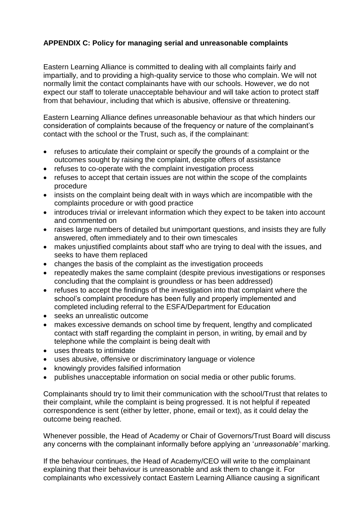# <span id="page-12-0"></span>**APPENDIX C: Policy for managing serial and unreasonable complaints**

Eastern Learning Alliance is committed to dealing with all complaints fairly and impartially, and to providing a high-quality service to those who complain. We will not normally limit the contact complainants have with our schools. However, we do not expect our staff to tolerate unacceptable behaviour and will take action to protect staff from that behaviour, including that which is abusive, offensive or threatening.

Eastern Learning Alliance defines unreasonable behaviour as that which hinders our consideration of complaints because of the frequency or nature of the complainant's contact with the school or the Trust, such as, if the complainant:

- refuses to articulate their complaint or specify the grounds of a complaint or the outcomes sought by raising the complaint, despite offers of assistance
- refuses to co-operate with the complaint investigation process
- refuses to accept that certain issues are not within the scope of the complaints procedure
- insists on the complaint being dealt with in ways which are incompatible with the complaints procedure or with good practice
- introduces trivial or irrelevant information which they expect to be taken into account and commented on
- raises large numbers of detailed but unimportant questions, and insists they are fully answered, often immediately and to their own timescales
- makes unjustified complaints about staff who are trying to deal with the issues, and seeks to have them replaced
- changes the basis of the complaint as the investigation proceeds
- repeatedly makes the same complaint (despite previous investigations or responses concluding that the complaint is groundless or has been addressed)
- refuses to accept the findings of the investigation into that complaint where the school's complaint procedure has been fully and properly implemented and completed including referral to the ESFA/Department for Education
- seeks an unrealistic outcome
- makes excessive demands on school time by frequent, lengthy and complicated contact with staff regarding the complaint in person, in writing, by email and by telephone while the complaint is being dealt with
- uses threats to intimidate
- uses abusive, offensive or discriminatory language or violence
- knowingly provides falsified information
- publishes unacceptable information on social media or other public forums.

Complainants should try to limit their communication with the school/Trust that relates to their complaint, while the complaint is being progressed. It is not helpful if repeated correspondence is sent (either by letter, phone, email or text), as it could delay the outcome being reached.

Whenever possible, the Head of Academy or Chair of Governors/Trust Board will discuss any concerns with the complainant informally before applying an '*unreasonable'* marking.

If the behaviour continues, the Head of Academy/CEO will write to the complainant explaining that their behaviour is unreasonable and ask them to change it. For complainants who excessively contact Eastern Learning Alliance causing a significant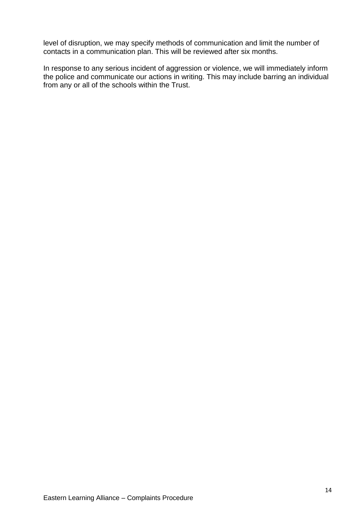level of disruption, we may specify methods of communication and limit the number of contacts in a communication plan. This will be reviewed after six months.

In response to any serious incident of aggression or violence, we will immediately inform the police and communicate our actions in writing. This may include barring an individual from any or all of the schools within the Trust.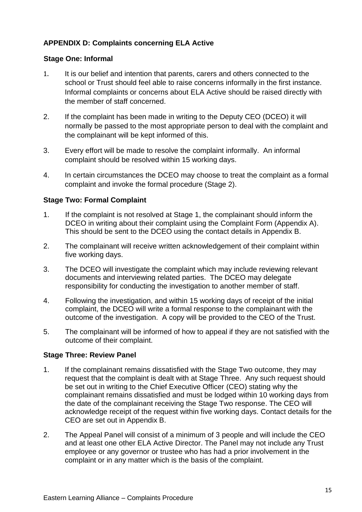# <span id="page-14-0"></span>**APPENDIX D: Complaints concerning ELA Active**

# <span id="page-14-1"></span>**Stage One: Informal**

- 1. It is our belief and intention that parents, carers and others connected to the school or Trust should feel able to raise concerns informally in the first instance. Informal complaints or concerns about ELA Active should be raised directly with the member of staff concerned.
- 2. If the complaint has been made in writing to the Deputy CEO (DCEO) it will normally be passed to the most appropriate person to deal with the complaint and the complainant will be kept informed of this.
- 3. Every effort will be made to resolve the complaint informally. An informal complaint should be resolved within 15 working days.
- 4. In certain circumstances the DCEO may choose to treat the complaint as a formal complaint and invoke the formal procedure (Stage 2).

# <span id="page-14-2"></span>**Stage Two: Formal Complaint**

- 1. If the complaint is not resolved at Stage 1, the complainant should inform the DCEO in writing about their complaint using the Complaint Form (Appendix A). This should be sent to the DCEO using the contact details in Appendix B.
- 2. The complainant will receive written acknowledgement of their complaint within five working days.
- 3. The DCEO will investigate the complaint which may include reviewing relevant documents and interviewing related parties. The DCEO may delegate responsibility for conducting the investigation to another member of staff.
- 4. Following the investigation, and within 15 working days of receipt of the initial complaint, the DCEO will write a formal response to the complainant with the outcome of the investigation. A copy will be provided to the CEO of the Trust.
- 5. The complainant will be informed of how to appeal if they are not satisfied with the outcome of their complaint.

## <span id="page-14-3"></span>**Stage Three: Review Panel**

- 1. If the complainant remains dissatisfied with the Stage Two outcome, they may request that the complaint is dealt with at Stage Three. Any such request should be set out in writing to the Chief Executive Officer (CEO) stating why the complainant remains dissatisfied and must be lodged within 10 working days from the date of the complainant receiving the Stage Two response. The CEO will acknowledge receipt of the request within five working days. Contact details for the CEO are set out in Appendix B.
- 2. The Appeal Panel will consist of a minimum of 3 people and will include the CEO and at least one other ELA Active Director. The Panel may not include any Trust employee or any governor or trustee who has had a prior involvement in the complaint or in any matter which is the basis of the complaint.